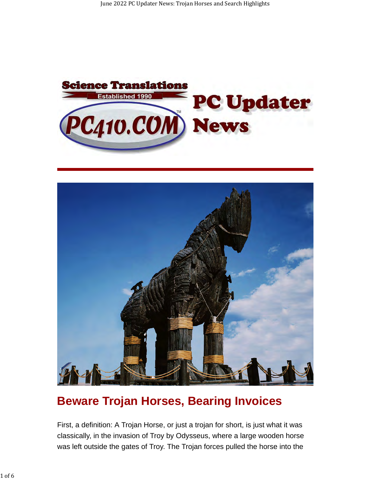



## **Beware Trojan Horses, Bearing Invoices**

First, a definition: A Trojan Horse, or just a trojan for short, is just what it was classically, in the invasion of Troy by Odysseus, where a large wooden horse was left outside the gates of Troy. The Trojan forces pulled the horse into the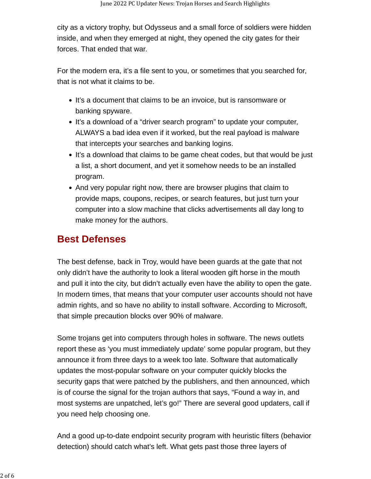city as a victory trophy, but Odysseus and a small force of soldiers were hidden inside, and when they emerged at night, they opened the city gates for their forces. That ended that war.

For the modern era, it's a file sent to you, or sometimes that you searched for, that is not what it claims to be.

- It's a document that claims to be an invoice, but is ransomware or banking spyware.
- It's a download of a "driver search program" to update your computer, ALWAYS a bad idea even if it worked, but the real payload is malware that intercepts your searches and banking logins.
- It's a download that claims to be game cheat codes, but that would be just a list, a short document, and yet it somehow needs to be an installed program.
- And very popular right now, there are browser plugins that claim to provide maps, coupons, recipes, or search features, but just turn your computer into a slow machine that clicks advertisements all day long to make money for the authors.

### **Best Defenses**

The best defense, back in Troy, would have been guards at the gate that not only didn't have the authority to look a literal wooden gift horse in the mouth and pull it into the city, but didn't actually even have the ability to open the gate. In modern times, that means that your computer user accounts should not have admin rights, and so have no ability to install software. According to Microsoft, that simple precaution blocks over 90% of malware.

Some trojans get into computers through holes in software. The news outlets report these as 'you must immediately update' some popular program, but they announce it from three days to a week too late. Software that automatically updates the most-popular software on your computer quickly blocks the security gaps that were patched by the publishers, and then announced, which is of course the signal for the trojan authors that says, "Found a way in, and most systems are unpatched, let's go!" There are several good updaters, call if you need help choosing one.

And a good up-to-date endpoint security program with heuristic filters (behavior detection) should catch what's left. What gets past those three layers of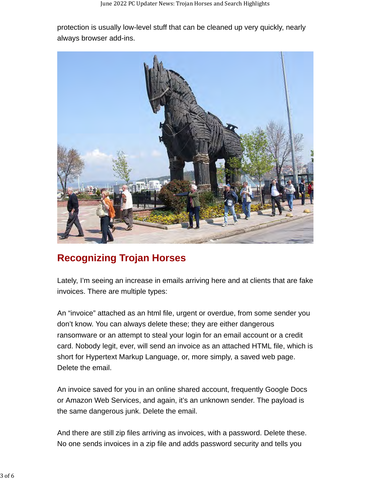protection is usually low-level stuff that can be cleaned up very quickly, nearly always browser add-ins.

![](_page_2_Picture_2.jpeg)

### **Recognizing Trojan Horses**

Lately, I'm seeing an increase in emails arriving here and at clients that are fake invoices. There are multiple types:

An "invoice" attached as an html file, urgent or overdue, from some sender you don't know. You can always delete these; they are either dangerous ransomware or an attempt to steal your login for an email account or a credit card. Nobody legit, ever, will send an invoice as an attached HTML file, which is short for Hypertext Markup Language, or, more simply, a saved web page. Delete the email.

An invoice saved for you in an online shared account, frequently Google Docs or Amazon Web Services, and again, it's an unknown sender. The payload is the same dangerous junk. Delete the email.

And there are still zip files arriving as invoices, with a password. Delete these. No one sends invoices in a zip file and adds password security and tells you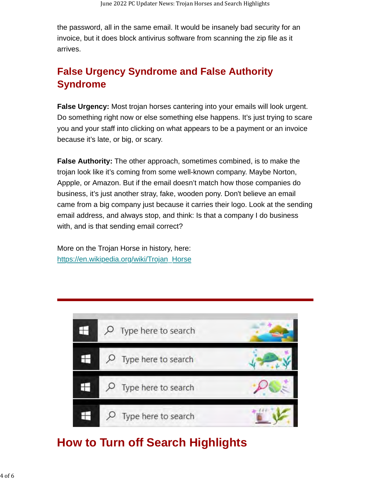the password, all in the same email. It would be insanely bad security for an invoice, but it does block antivirus software from scanning the zip file as it arrives.

## **False Urgency Syndrome and False Authority Syndrome**

**False Urgency:** Most trojan horses cantering into your emails will look urgent. Do something right now or else something else happens. It's just trying to scare you and your staff into clicking on what appears to be a payment or an invoice because it's late, or big, or scary.

**False Authority:** The other approach, sometimes combined, is to make the trojan look like it's coming from some well-known company. Maybe Norton, Appple, or Amazon. But if the email doesn't match how those companies do business, it's just another stray, fake, wooden pony. Don't believe an email came from a big company just because it carries their logo. Look at the sending email address, and always stop, and think: Is that a company I do business with, and is that sending email correct?

More on the Trojan Horse in history, here: [https://en.wikipedia.org/wiki/Trojan\\_Horse](https://en.wikipedia.org/wiki/Trojan_Horse)

![](_page_3_Picture_6.jpeg)

# **How to Turn off Search Highlights**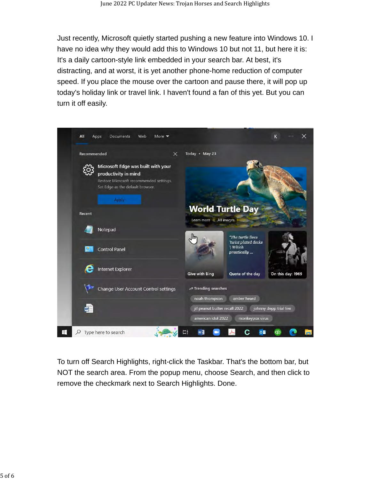Just recently, Microsoft quietly started pushing a new feature into Windows 10. I have no idea why they would add this to Windows 10 but not 11, but here it is: It's a daily cartoon-style link embedded in your search bar. At best, it's distracting, and at worst, it is yet another phone-home reduction of computer speed. If you place the mouse over the cartoon and pause there, it will pop up today's holiday link or travel link. I haven't found a fan of this yet. But you can turn it off easily.

![](_page_4_Picture_2.jpeg)

To turn off Search Highlights, right-click the Taskbar. That's the bottom bar, but NOT the search area. From the popup menu, choose Search, and then click to remove the checkmark next to Search Highlights. Done.